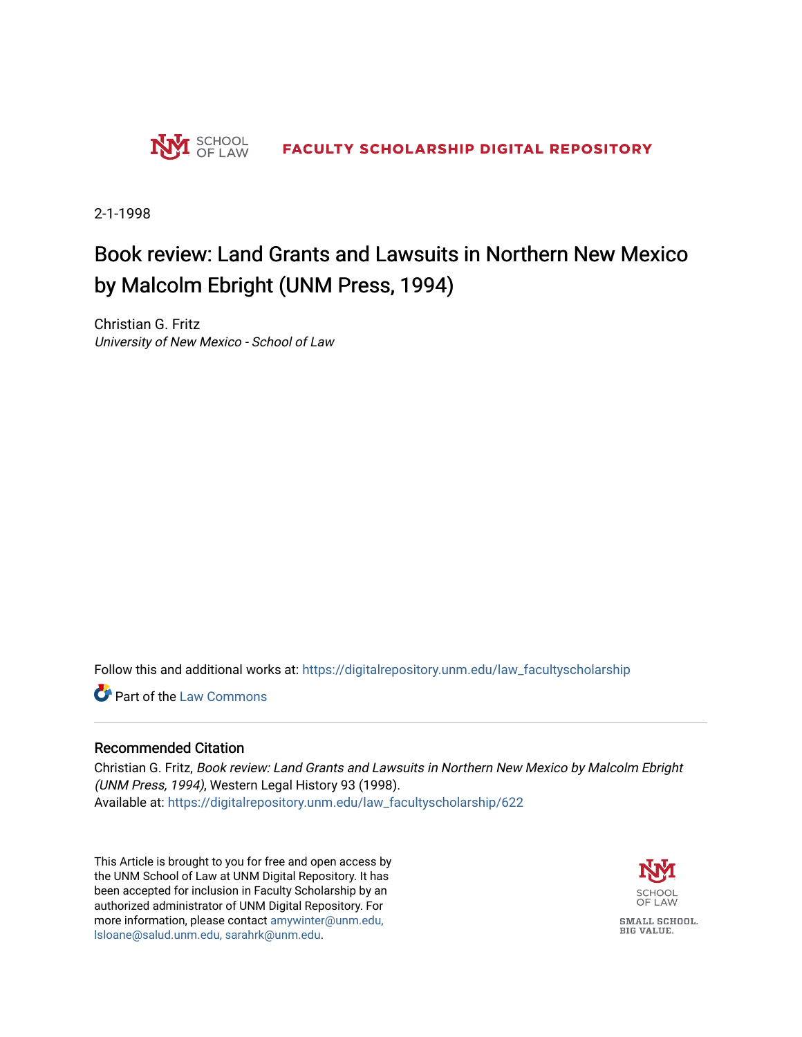

2-1-1998

## Book review: Land Grants and Lawsuits in Northern New Mexico by Malcolm Ebright (UNM Press, 1994)

Christian G. Fritz University of New Mexico - School of Law

Follow this and additional works at: [https://digitalrepository.unm.edu/law\\_facultyscholarship](https://digitalrepository.unm.edu/law_facultyscholarship?utm_source=digitalrepository.unm.edu%2Flaw_facultyscholarship%2F622&utm_medium=PDF&utm_campaign=PDFCoverPages) 

**Part of the [Law Commons](http://network.bepress.com/hgg/discipline/578?utm_source=digitalrepository.unm.edu%2Flaw_facultyscholarship%2F622&utm_medium=PDF&utm_campaign=PDFCoverPages)** 

## Recommended Citation

Christian G. Fritz, Book review: Land Grants and Lawsuits in Northern New Mexico by Malcolm Ebright (UNM Press, 1994), Western Legal History 93 (1998). Available at: [https://digitalrepository.unm.edu/law\\_facultyscholarship/622](https://digitalrepository.unm.edu/law_facultyscholarship/622?utm_source=digitalrepository.unm.edu%2Flaw_facultyscholarship%2F622&utm_medium=PDF&utm_campaign=PDFCoverPages) 

This Article is brought to you for free and open access by the UNM School of Law at UNM Digital Repository. It has been accepted for inclusion in Faculty Scholarship by an authorized administrator of UNM Digital Repository. For more information, please contact [amywinter@unm.edu,](mailto:amywinter@unm.edu,%20lsloane@salud.unm.edu,%20sarahrk@unm.edu)  [lsloane@salud.unm.edu, sarahrk@unm.edu.](mailto:amywinter@unm.edu,%20lsloane@salud.unm.edu,%20sarahrk@unm.edu)

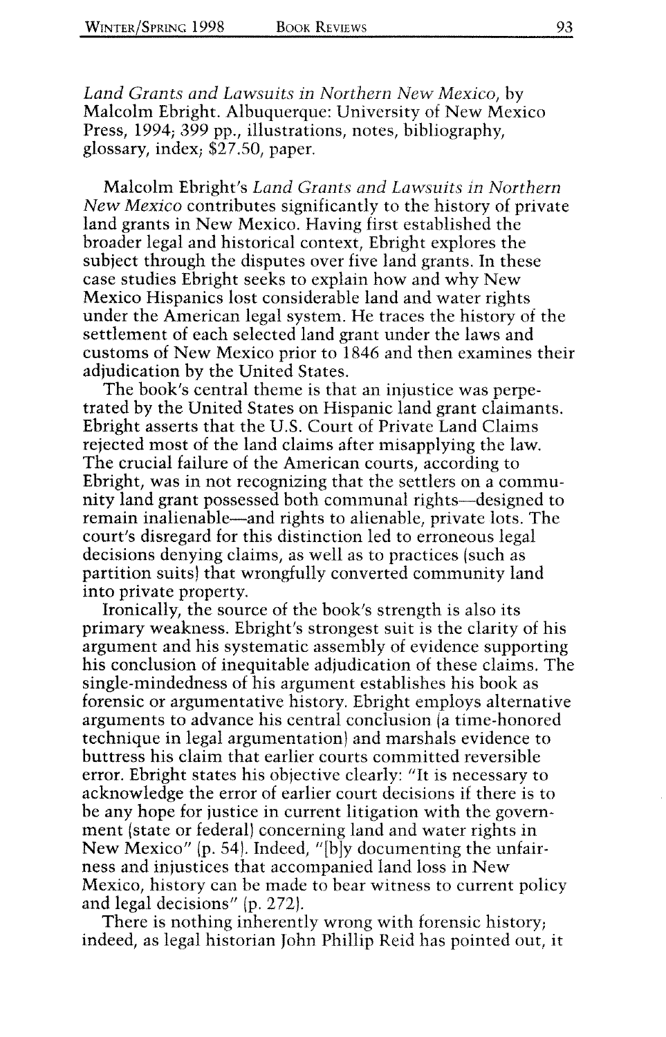*Land Grants and Lawsuits in Northern New Mexico,* **by** Malcolm Ebright. Albuquerque: University of New Mexico Press, 1994; **399 pp.,** illustrations, notes, bibliography, glossary, index; **\$27.50,** paper.

Malcolm Ebright's *Land Grants and Lawsuits in Northern New Mexico* contributes significantly to the history of private land grants in New Mexico. Having first established the broader legal and historical context, Ebright explores the subject through the disputes over five land grants. In these case studies Ebright seeks to explain how and why New Mexico Hispanics lost considerable land and water rights under the American legal system. He traces the history of the settlement of each selected land grant under the laws and customs of New Mexico prior to 1846 and then examines their adjudication **by** the United States.

The book's central theme is that an injustice was perpetrated **by** the United States on Hispanic land grant claimants. Ebright asserts that the **U.S.** Court of Private Land Claims rejected most of the land claims after misapplying the law. The crucial failure of the American courts, according to Ebright, was in not recognizing that the settlers on a community land grant possessed both communal rights—designed to remain inalienable-and rights to alienable, private lots. The court's disregard for this distinction led to erroneous legal decisions denying claims, as well as to practices (such as partition suits) that wrongfully converted community land into private property.

Ironically, the source of the book's strength is also its primary weakness. Ebright's strongest suit is the clarity of his argument and his systematic assembly of evidence supporting his conclusion of inequitable adjudication of these claims. The single-mindedness of his argument establishes his book as forensic or argumentative history. Ebright employs alternative arguments to advance his central conclusion (a time-honored technique in legal argumentation) and marshals evidence to buttress his claim that earlier courts committed reversible error. Ebright states his objective clearly: "It is necessary to acknowledge the error of earlier court decisions if there is to be any hope for justice in current litigation with the government (state or federal) concerning land and water rights in New Mexico" **(p.** 54). Indeed, **"[bly** documenting the unfairness and injustices that accompanied land loss in New Mexico, history can be made to bear witness to current policy and legal decisions" **(p. 272).**

There is nothing inherently wrong with forensic history; indeed, as legal historian John Phillip Reid has pointed out, it